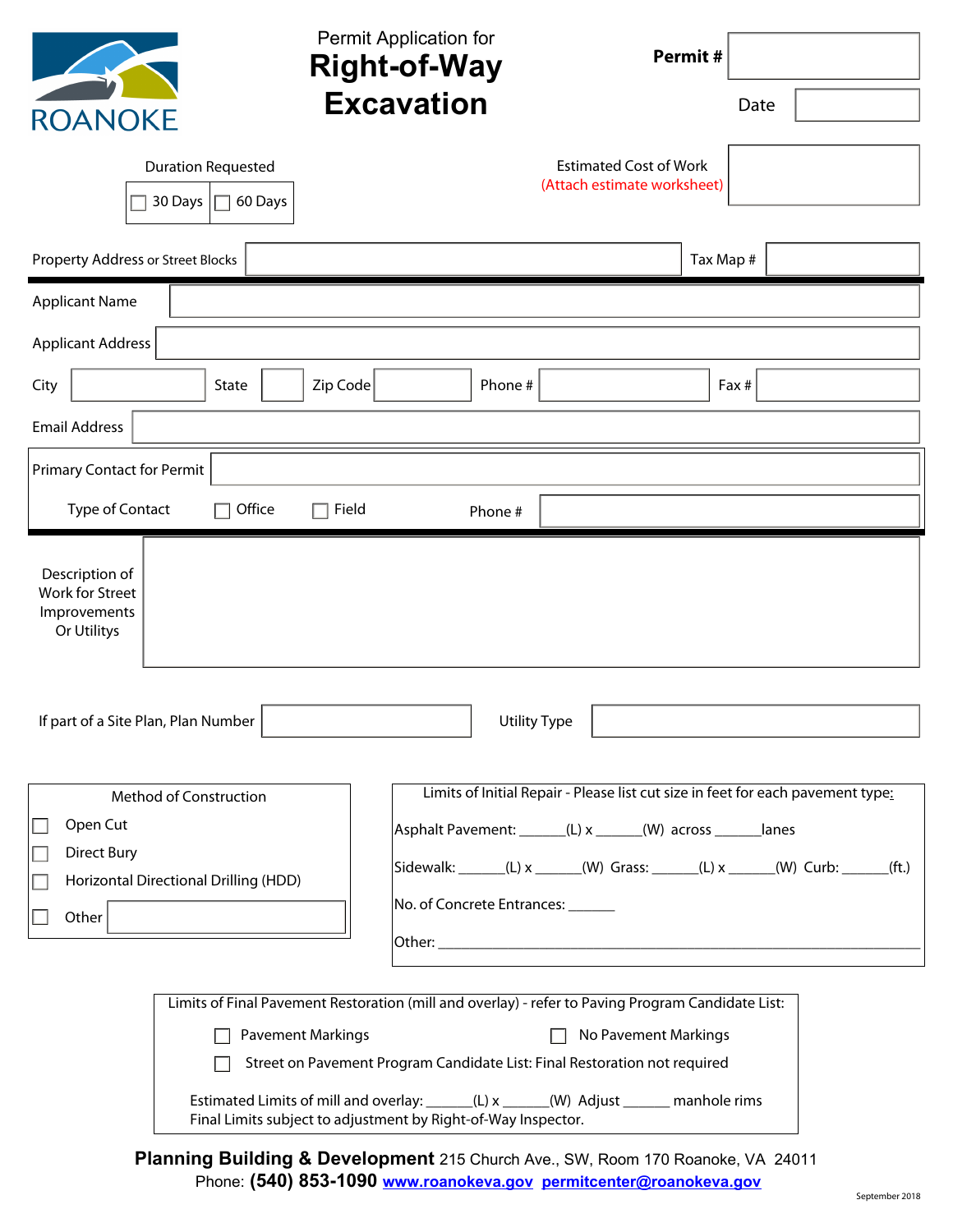| <b>ROANOKE</b>                                                   | Permit Application for<br>Permit#<br><b>Right-of-Way</b><br><b>Excavation</b>                                                                                                                                                                                                                                                        | Date  |  |  |  |
|------------------------------------------------------------------|--------------------------------------------------------------------------------------------------------------------------------------------------------------------------------------------------------------------------------------------------------------------------------------------------------------------------------------|-------|--|--|--|
|                                                                  | <b>Estimated Cost of Work</b><br><b>Duration Requested</b><br>(Attach estimate worksheet)<br>30 Days<br>60 Days                                                                                                                                                                                                                      |       |  |  |  |
| Property Address or Street Blocks                                | Tax Map #                                                                                                                                                                                                                                                                                                                            |       |  |  |  |
| <b>Applicant Name</b>                                            |                                                                                                                                                                                                                                                                                                                                      |       |  |  |  |
| <b>Applicant Address</b>                                         |                                                                                                                                                                                                                                                                                                                                      |       |  |  |  |
| City                                                             | Zip Code<br>Phone #<br>State                                                                                                                                                                                                                                                                                                         | Fax # |  |  |  |
| <b>Email Address</b>                                             |                                                                                                                                                                                                                                                                                                                                      |       |  |  |  |
| <b>Primary Contact for Permit</b>                                |                                                                                                                                                                                                                                                                                                                                      |       |  |  |  |
| Type of Contact                                                  | Office<br>Field<br>Phone #                                                                                                                                                                                                                                                                                                           |       |  |  |  |
| Description of<br>Work for Street<br>Improvements<br>Or Utilitys |                                                                                                                                                                                                                                                                                                                                      |       |  |  |  |
| If part of a Site Plan, Plan Number                              | Utility Type                                                                                                                                                                                                                                                                                                                         |       |  |  |  |
| Open Cut<br><b>Direct Bury</b><br>Other                          | Limits of Initial Repair - Please list cut size in feet for each pavement type:<br>Method of Construction<br>Asphalt Pavement: ______(L) x ______(W) across ______ lanes<br>Sidewalk: ______(L) x _____(W) Grass: _____(L) x _____(W) Curb: _____(ft.)<br>Horizontal Directional Drilling (HDD)<br>No. of Concrete Entrances: ______ |       |  |  |  |
|                                                                  | Limits of Final Pavement Restoration (mill and overlay) - refer to Paving Program Candidate List:<br><b>Pavement Markings</b><br>No Pavement Markings<br>Street on Pavement Program Candidate List: Final Restoration not required                                                                                                   |       |  |  |  |
|                                                                  | Estimated Limits of mill and overlay: ______(L) x _____(W) Adjust ______ manhole rims<br>Final Limits subject to adjustment by Right-of-Way Inspector.                                                                                                                                                                               |       |  |  |  |

**Planning Building & Development** 215 Church Ave., SW, Room 170 Roanoke, VA 24011 Phone: **(540) 853-1090 www.roanokeva.gov permitcenter@roanokeva.gov**